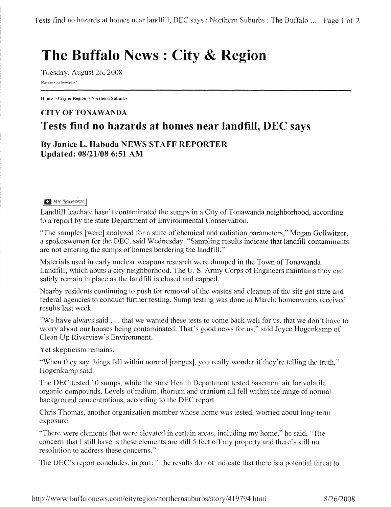## **The Buffalo News : City & Region**

Tuesday, August 26, 2008 Make us your homepage!

Home> City & Region> Northern Suburbs

## **CITY OF TONAWANDA Tests find no hazards at homes near landfill, DEC says**

**By Janice L. Habuda NEWS** STAFF **REPORTER**  Updated: 08/21/08 6:51 AM

## **EX** MY YANOO!

Landfill leachate hasn't contaminated the sumps in a City of Tonawanda neighborhood, according to a report by the state Department of Environmental Conservation.

"The samples [were] analyzed for a suite of chemical and radiation parameters," Megan Gollwitzer, a spokeswoman for the DEC, said Wednesday. "Sampling results indicate that landfill contaminants are not entering the sumps of homes bordering the landfill."

Materials used in early nuclear weapons research were dumped in the Town of Tonawanda Landfill, which abuts a city neighborhood. The U.S. Army Corps of Engineers maintains they can safely remain in place as the landfill is closed and capped.

Nearby residents continuing to push for removal of the wastes and cleanup of the site got state and federal agencies to conduct further testing. Sump testing was done in March; homeowners received results last week.

"We have always said ... that we wanted these tests to come back well for us, that we don't have to worry about our houses being contaminated. That's good news for us," said Joyce Hogenkamp of Clean Up Riverview's Environment.

Yet skepticism remains.

"When they say things fall within normal [ranges], you really wonder if they're telling the truth," Hogenkamp said.

The DEC tested 10 sumps, while the state Health Department tested basement air for volatile organic compounds. Levels of radium, thorium and uranium all fell within the range of normal background concentrations, according to the DEC report.

Chris Thomas, another organization member whose home was tested, worried about long-term exposure.

"There were elements that were elevated in certain areas, including my home," he said. "The concern that I still have is these elements are still 5 feet off my property and there's still no resolution to address these concerns."

The DEC's report concludes, in part: "The results do not indicate that there is a potential threat to

http://www. buffalonews.com/cityregion/northernsuburbs/story /419794.html 8/26/2008